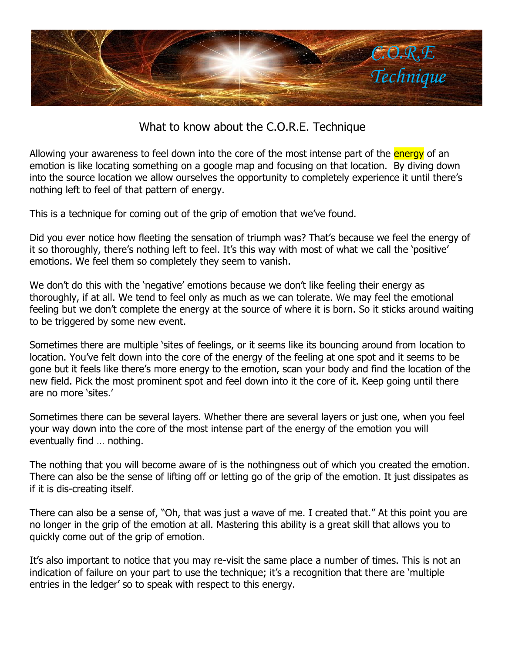

What to know about the C.O.R.E. Technique

Allowing your awareness to feel down into the core of the most intense part of the energy of an emotion is like locating something on a google map and focusing on that location. By diving down into the source location we allow ourselves the opportunity to completely experience it until there's nothing left to feel of that pattern of energy.

This is a technique for coming out of the grip of emotion that we've found.

Did you ever notice how fleeting the sensation of triumph was? That's because we feel the energy of it so thoroughly, there's nothing left to feel. It's this way with most of what we call the 'positive' emotions. We feel them so completely they seem to vanish.

We don't do this with the 'negative' emotions because we don't like feeling their energy as thoroughly, if at all. We tend to feel only as much as we can tolerate. We may feel the emotional feeling but we don't complete the energy at the source of where it is born. So it sticks around waiting to be triggered by some new event.

Sometimes there are multiple 'sites of feelings, or it seems like its bouncing around from location to location. You've felt down into the core of the energy of the feeling at one spot and it seems to be gone but it feels like there's more energy to the emotion, scan your body and find the location of the new field. Pick the most prominent spot and feel down into it the core of it. Keep going until there are no more 'sites.'

Sometimes there can be several layers. Whether there are several layers or just one, when you feel your way down into the core of the most intense part of the energy of the emotion you will eventually find … nothing.

The nothing that you will become aware of is the nothingness out of which you created the emotion. There can also be the sense of lifting off or letting go of the grip of the emotion. It just dissipates as if it is dis-creating itself.

There can also be a sense of, "Oh, that was just a wave of me. I created that." At this point you are no longer in the grip of the emotion at all. Mastering this ability is a great skill that allows you to quickly come out of the grip of emotion.

It's also important to notice that you may re-visit the same place a number of times. This is not an indication of failure on your part to use the technique; it's a recognition that there are 'multiple entries in the ledger' so to speak with respect to this energy.